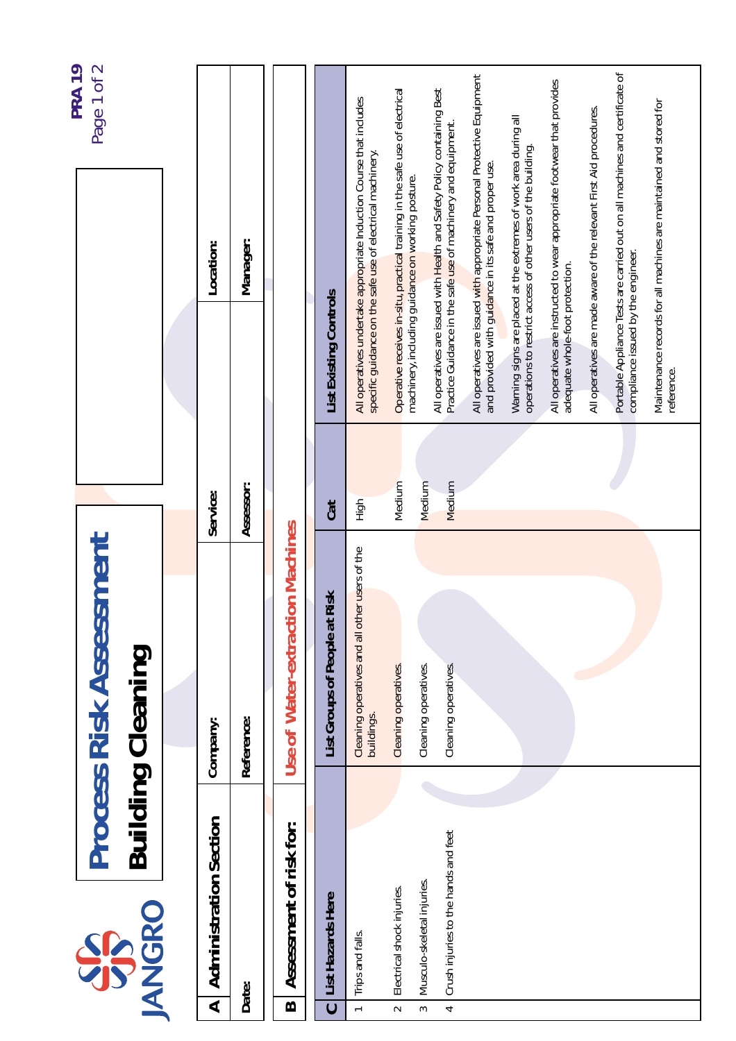|                                                                                                          |                                                              |                  |                                                                                                                                          | PRA <sub>19</sub><br>Page 1 of 2 |
|----------------------------------------------------------------------------------------------------------|--------------------------------------------------------------|------------------|------------------------------------------------------------------------------------------------------------------------------------------|----------------------------------|
| JANGRO<br>SPS                                                                                            | <b>Process Risk Assessment</b><br><b>Building Cleaning</b>   |                  |                                                                                                                                          |                                  |
|                                                                                                          |                                                              |                  |                                                                                                                                          |                                  |
| <b>Administration Section</b><br>$\overline{\mathbf{A}}$                                                 | Company:                                                     | Service:         | Location:                                                                                                                                |                                  |
| Date:                                                                                                    | Reference:                                                   | Assessor:        | Manager:                                                                                                                                 |                                  |
| Assessment of risk for:<br>$\bf{m}$                                                                      | Use of Water-extraction Machines                             |                  |                                                                                                                                          |                                  |
| List Hazards Here<br>$\overline{c}$                                                                      | Risk<br>List Groups of People at                             | <b>Cat</b>       | List Existing Controls                                                                                                                   |                                  |
| Trips and falls.<br>$\leftarrow$                                                                         | Cleaning operatives and all other users of the<br>buildings. | High             | All operatives undertake appropriate Induction Course that includes<br>specific guidance on the safe use of electrical machinery.        |                                  |
| Electrical shock injuries.<br>$\sim$                                                                     | Cleaning operatives.                                         | Medium           | Operative receives in-situ, practical training in the safe use of electrical<br>machinery, including guidance on working posture.        |                                  |
| Crush injuries to the hands and feet<br>Musculo-skeletal injuries.<br>$\sim$<br>$\overline{\phantom{a}}$ | Cleaning operatives.<br>Cleaning operatives.                 | Medium<br>Medium | All operatives are issued with Health and Safety Policy containing Best<br>Practice Guidance in the safe use of machinery and equipment. |                                  |
|                                                                                                          |                                                              |                  | All operatives are issued with appropriate Personal Protective Equipment<br>and provided with guidance in its safe and proper use.       |                                  |
|                                                                                                          |                                                              |                  | Warning signs are placed at the extremes of work area during all<br>operations to restrict access of other users of the building.        |                                  |
|                                                                                                          |                                                              |                  | All operatives are instructed to wear appropriate footwear that provides<br>adequate whole-foot protection.                              |                                  |
|                                                                                                          |                                                              |                  | All operatives are made aware of the relevant First Aid procedures.                                                                      |                                  |
|                                                                                                          |                                                              |                  | Portable Appliance Tests are carried out on all machines and certificate of<br>compliance issued by the engineer.                        |                                  |
|                                                                                                          |                                                              |                  | Maintenance records for all machines are maintained and stored for<br>reference.                                                         |                                  |
|                                                                                                          |                                                              |                  |                                                                                                                                          |                                  |